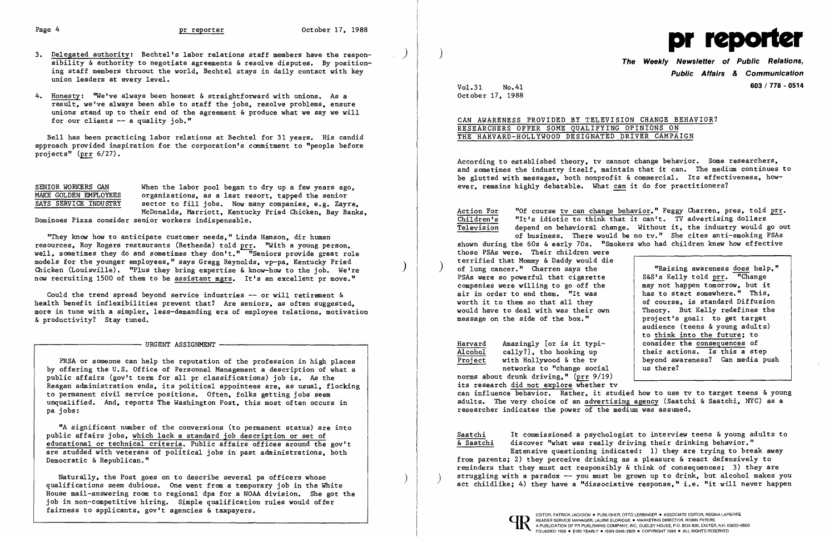- 3. Delegated authority: Bechtel's labor relations staff members have the responsibility & authority to negotiate agreements & resolve disputes. By positioning staff members thruout the world. Bechtel stays in daily contact with key union leaders at every level.
- 4. Honesty: "We've always been honest & straightforward with unions. As a result, we've always been able to staff the jobs, resolve problems, ensure unions stand up to their end of the agreement & produce what we say we will for our clients -- a quality job."

When the labor pool began to dry up a few years ago. organizations. as a last resort. tapped the senior sector to fill jobs. Now many companies. e.g. Zayre. McDona1ds. Marriott. Kentucky Fried Chicken. Bay Banks.

Bell has been practicing labor relations at Bechtel for 31 years. His candid approach provided inspiration for the corporation's commitment to "people before projects" (prr 6/27).

| SENIOR WORKERS CAN |                       |  |
|--------------------|-----------------------|--|
|                    | MAKE GOLDEN EMPLOYEES |  |
|                    | SAYS SERVICE INDUSTRY |  |

Could the trend spread beyond service industries  $--$  or will retirement & health benefit inflexibilities prevent that? Are seniors. as often suggested. more in tune with a simpler. less-demanding era of employee relations. motivation & productivity? Stay tuned.

Dominoes Pizza consider senior workers indispensable.

"They know how to anticipate customer needs." Linda Hanson. dir human resources. Roy Rogers restaurants (Bethesda) told prr. "With a young person. well, sometimes they do and sometimes they don't." "Seniors provide great role models for the younger employees." says Gregg Reynolds. vp-pa. Kentucky Fried Chicken (Louisville). "Plus they bring expertise & know-how to the job. We're now recruiting 1500 of them to be assistant mgrs. It's an excellent pr move."

# CAN AWARENESS PROVIDED BY TELEVISION CHANGE BEHAVIOR? RESEARCHERS OFFER SOME QUALIFYING OPINIONS ON THE HARVARD-HOLLYWOOD DESIGNATED DRIVER CAMPAIGN

URGENT ASSIGNMENT ---------------\_,

Action For "Of course ty can change behavior," Peggy Charren, pres, told prr.<br>Children's "It's idiotic to think that it can't. TV advertising dollars Children's "It's idiotic to think that it can't. TV advertising dollars<br>Television depend on behavioral change. Without it, the industry would g depend on behavioral change. Without it, the industry would go out of business. There would be no tv." She cites anti-smoking PSAs shown during the 60s & early 70s. "Smokers who had children knew how effective

PRSA or someone can help the reputation of the profession in high places by offering the U.S. Office of Personnel Management a description of what a public affairs (gov't term for all pr classifications) job is. As the Reagan administration ends, its political appointees are, as usual, flocking to permanent civil service positions. Often. folks getting jobs seem unqualified. And. reports The Washington Post. this most often occurs in pa jobs:

Harvard Amazingly [or is it typi-<br>Alcohol cally?], tho hooking up Alcohol cally?], tho hooking up<br>Project with Hollywood & the tv with Hollywood & the tv networks to "change social

"A significant number of the conversions (to permanent status) are into public affairs jobs. which lack a standard job description or set of educational or technical criteria. Public affairs offices around the gov't are studded with veterans of political jobs in past administrations. both Democratic & Republican."

Naturally. the Post goes on to describe several pa officers whose qualifications seem dubious. One went from a temporary job in the White House mail-answering room to regional dpa for a NOAA division. She got the job in non-competitive hiring. Simple qualification rules would offer fairness to applicants. gov't agencies & taxpayers.

)

 $\big)$ 



**Public Affairs & Communication 603 I 778 - 0514**

Vol. 31 No.41 October 17. 1988

According to established theory. tv cannot change behavior. Some researchers. and sometimes the industry itself. maintain that it can. The medium continues to be glutted with messages, both nonprofit & commercial. Its effectiveness, however. remains highly debatable. What can it do for practitioners?

those PSAs were. Their children were terrified that Mommy & Daddy would die of lung cancer." Charren says the PSAs were so powerful that cigarette companies were willing to go off the air in order to end them. "It was worth it to them so that all they would have to deal with was their own message on the side of the box."

"Raising awareness does help." S&S's Kelly told prr. "Change may not happen tomorrow. but it has to start somewhere." This. of course. is standard Diffusion Theory. But Kelly redefines the project's goal: to get target audience (teens & young adults) to think into the future; to consider the consequences of their actions. Is this a step beyond awareness? Can media push us there?

norms about drunk driving." (prr 9/19) its research did not explore whether tv can influence behavior. Rather, it studied how to use tv to target teens & young adults. The very choice of an advertising agency (Saatchi & Saatchi. NYC) as a researcher indicates the power of the medium was assumed.

Extensive questioning indicated: 1) they are trying to break away

Saatchi It commissioned a psychologist to interview teens & young adults to & Saatchi discover "what was really driving their drinking behavior." from parents; 2) they perceive drinking as a pleasure & react defensively to reminders that they must act responsibly  $\&$  think of consequences; 3) they are struggling with a paradox -- you must be grown up to drink, but alcohol makes you act childlike; 4) they have a "dissociative response." i.e. "it will never happen



 $\big)$